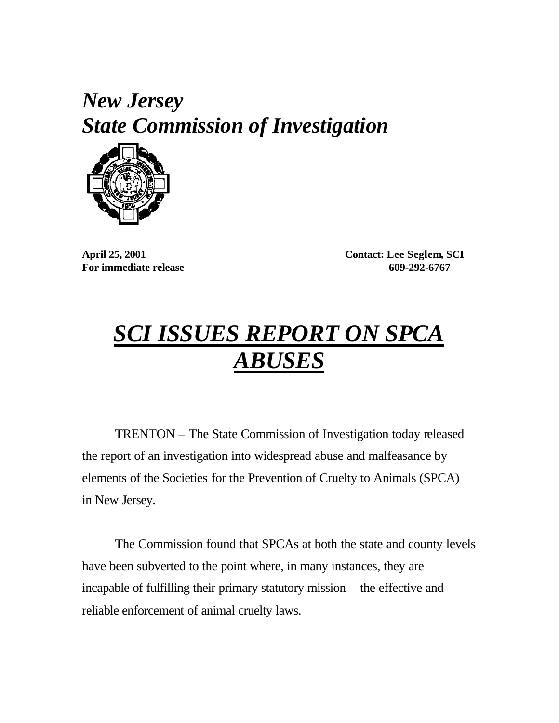## *New Jersey State Commission of Investigation*



**April 25, 2001 Contact: Lee Seglem, SCI For immediate release 609-292-6767**

## *SCI ISSUES REPORT ON SPCA ABUSES*

TRENTON – The State Commission of Investigation today released the report of an investigation into widespread abuse and malfeasance by elements of the Societies for the Prevention of Cruelty to Animals (SPCA) in New Jersey.

The Commission found that SPCAs at both the state and county levels have been subverted to the point where, in many instances, they are incapable of fulfilling their primary statutory mission – the effective and reliable enforcement of animal cruelty laws.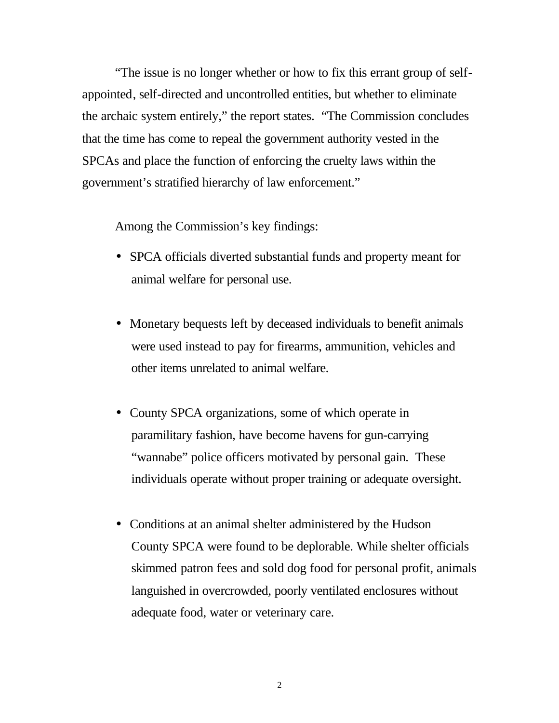"The issue is no longer whether or how to fix this errant group of selfappointed, self-directed and uncontrolled entities, but whether to eliminate the archaic system entirely," the report states. "The Commission concludes that the time has come to repeal the government authority vested in the SPCAs and place the function of enforcing the cruelty laws within the government's stratified hierarchy of law enforcement."

Among the Commission's key findings:

- SPCA officials diverted substantial funds and property meant for animal welfare for personal use.
- Monetary bequests left by deceased individuals to benefit animals were used instead to pay for firearms, ammunition, vehicles and other items unrelated to animal welfare.
- County SPCA organizations, some of which operate in paramilitary fashion, have become havens for gun-carrying "wannabe" police officers motivated by personal gain. These individuals operate without proper training or adequate oversight.
- Conditions at an animal shelter administered by the Hudson County SPCA were found to be deplorable. While shelter officials skimmed patron fees and sold dog food for personal profit, animals languished in overcrowded, poorly ventilated enclosures without adequate food, water or veterinary care.

2